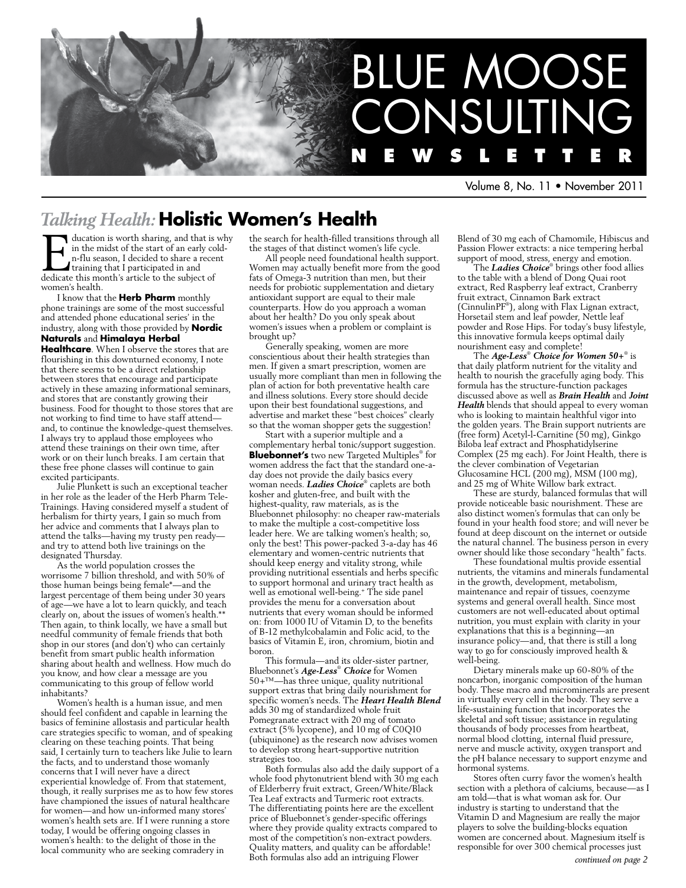

Volume 8, No. 11 • November 2011

# *Talking Health:* **Holistic Women's Health**

ducation is worth sharing, and that is why in the midst of the start of an early coldn-flu season, I decided to share a recent training that I participated in and dedicate this month's article to the subject of women's health.

I know that the **Herb Pharm** monthly phone trainings are some of the most successful and attended phone educational series' in the industry, along with those provided by **Nordic Naturals** and **Himalaya Herbal** 

**Healthcare**. When I observe the stores that are flourishing in this downturned economy, I note that there seems to be a direct relationship between stores that encourage and participate actively in these amazing informational seminars, and stores that are constantly growing their business. Food for thought to those stores that are not working to find time to have staff attend and, to continue the knowledge-quest themselves. I always try to applaud those employees who attend these trainings on their own time, after work or on their lunch breaks. I am certain that these free phone classes will continue to gain excited participants.

Julie Plunkett is such an exceptional teacher in her role as the leader of the Herb Pharm Tele-Trainings. Having considered myself a student of herbalism for thirty years, I gain so much from her advice and comments that I always plan to attend the talks—having my trusty pen ready and try to attend both live trainings on the designated Thursday.

As the world population crosses the worrisome 7 billion threshold, and with 50% of those human beings being female\*—and the largest percentage of them being under 30 years of age—we have a lot to learn quickly, and teach clearly on, about the issues of women's health.\*\* Then again, to think locally, we have a small but needful community of female friends that both shop in our stores (and don't) who can certainly benefit from smart public health information sharing about health and wellness. How much do you know, and how clear a message are you communicating to this group of fellow world inhabitants?

Women's health is a human issue, and men should feel confident and capable in learning the basics of feminine allostasis and particular health care strategies specific to woman, and of speaking clearing on these teaching points. That being said, I certainly turn to teachers like Julie to learn the facts, and to understand those womanly concerns that I will never have a direct experiential knowledge of. From that statement, though, it really surprises me as to how few stores have championed the issues of natural healthcare for women—and how un-informed many stores' women's health sets are. If I were running a store today, I would be offering ongoing classes in women's health: to the delight of those in the local community who are seeking comradery in

the search for health-filled transitions through all the stages of that distinct women's life cycle.

All people need foundational health support. Women may actually benefit more from the good fats of Omega-3 nutrition than men, but their needs for probiotic supplementation and dietary antioxidant support are equal to their male counterparts. How do you approach a woman about her health? Do you only speak about women's issues when a problem or complaint is brought up?

Generally speaking, women are more conscientious about their health strategies than men. If given a smart prescription, women are usually more compliant than men in following the plan of action for both preventative health care and illness solutions. Every store should decide upon their best foundational suggestions, and advertise and market these "best choices" clearly so that the woman shopper gets the suggestion!

Start with a superior multiple and a complementary herbal tonic/support suggestion. **Bluebonnet's** two new Targeted Multiples® for women address the fact that the standard one-aday does not provide the daily basics every woman needs. *Ladies Choice*® caplets are both kosher and gluten-free, and built with the highest-quality, raw materials, as is the Bluebonnet philosophy: no cheaper raw-materials to make the multiple a cost-competitive loss leader here. We are talking women's health; so, only the best! This power-packed 3-a-day has 46 elementary and women-centric nutrients that should keep energy and vitality strong, while providing nutritional essentials and herbs specific to support hormonal and urinary tract health as well as emotional well-being.+ The side panel provides the menu for a conversation about nutrients that every woman should be informed on: from 1000 IU of Vitamin D, to the benefits of B-12 methylcobalamin and Folic acid, to the basics of Vitamin E, iron, chromium, biotin and boron.

This formula—and its older-sister partner, Bluebonnet's *Age-Less*®  *Choice* for Women 50+™—has three unique, quality nutritional support extras that bring daily nourishment for specific women's needs. The *Heart Health Blend* adds 30 mg of standardized whole fruit Pomegranate extract with 20 mg of tomato extract (5% lycopene), and 10 mg of C0Q10 (ubiquinone) as the research now advises women to develop strong heart-supportive nutrition strategies too.

Both formulas also add the daily support of a whole food phytonutrient blend with 30 mg each of Elderberry fruit extract, Green/White/Black Tea Leaf extracts and Turmeric root extracts. The differentiating points here are the excellent price of Bluebonnet's gender-specific offerings where they provide quality extracts compared to most of the competition's non-extract powders. Quality matters, and quality can be affordable! Both formulas also add an intriguing Flower

Blend of 30 mg each of Chamomile, Hibiscus and Passion Flower extracts: a nice tempering herbal support of mood, stress, energy and emotion.

The *Ladies Choice*® brings other food allies to the table with a blend of Dong Quai root extract, Red Raspberry leaf extract, Cranberry fruit extract, Cinnamon Bark extract (CinnulinPF® ), along with Flax Lignan extract, Horsetail stem and leaf powder, Nettle leaf powder and Rose Hips. For today's busy lifestyle, this innovative formula keeps optimal daily nourishment easy and complete!

The *Age-Less*® *Choice for Women 50+*® is that daily platform nutrient for the vitality and health to nourish the gracefully aging body. This formula has the structure-function packages discussed above as well as *Brain Health* and *Joint Health* blends that should appeal to every woman who is looking to maintain healthful vigor into the golden years. The Brain support nutrients are (free form) Acetyl-l-Carnitine (50 mg), Ginkgo Biloba leaf extract and Phosphatidylserine Complex (25 mg each). For Joint Health, there is the clever combination of Vegetarian Glucosamine HCL (200 mg), MSM (100 mg), and 25 mg of White Willow bark extract.

These are sturdy, balanced formulas that will provide noticeable basic nourishment. These are also distinct women's formulas that can only be found in your health food store; and will never be found at deep discount on the internet or outside the natural channel. The business person in every owner should like those secondary "health" facts.

These foundational multis provide essential nutrients, the vitamins and minerals fundamental in the growth, development, metabolism, maintenance and repair of tissues, coenzyme systems and general overall health. Since most customers are not well-educated about optimal nutrition, you must explain with clarity in your explanations that this is a beginning—an insurance policy—and, that there is still a long way to go for consciously improved health & well-being.

Dietary minerals make up 60-80% of the noncarbon, inorganic composition of the human body. These macro and microminerals are present in virtually every cell in the body. They serve a life-sustaining function that incorporates the skeletal and soft tissue; assistance in regulating thousands of body processes from heartbeat, normal blood clotting, internal fluid pressure, nerve and muscle activity, oxygen transport and the pH balance necessary to support enzyme and hormonal systems.

Stores often curry favor the women's health section with a plethora of calciums, because—as I am told—that is what woman ask for. Our industry is starting to understand that the Vitamin D and Magnesium are really the major players to solve the building-blocks equation women are concerned about. Magnesium itself is responsible for over 300 chemical processes just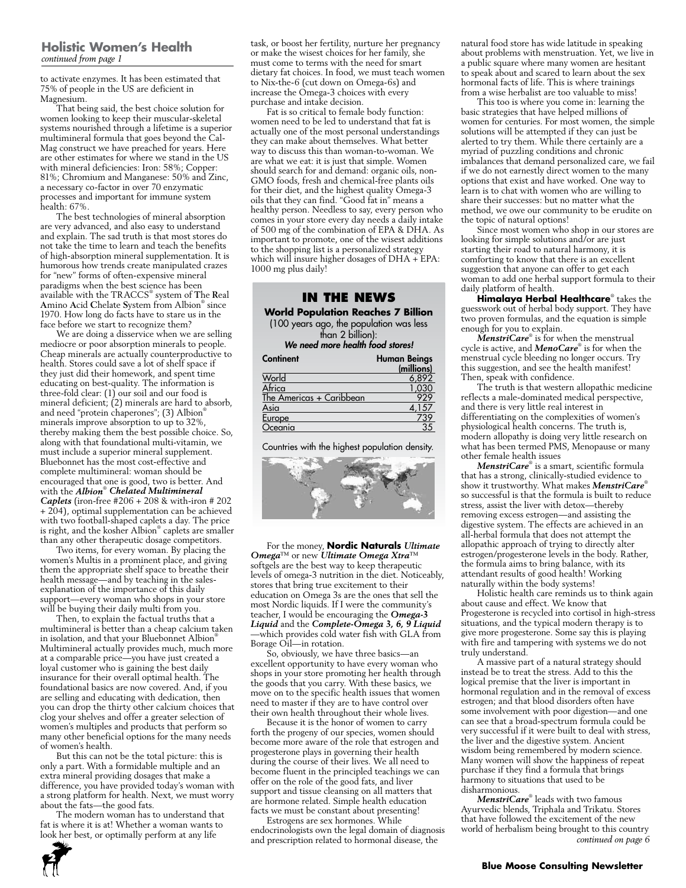#### **Holistic Women's Health** *continued from page 1*

to activate enzymes. It has been estimated that 75% of people in the US are deficient in Magnesium.

That being said, the best choice solution for women looking to keep their muscular-skeletal systems nourished through a lifetime is a superior multimineral formula that goes beyond the Cal-Mag construct we have preached for years. Here are other estimates for where we stand in the US with mineral deficiencies: Iron: 58%; Copper: 81%; Chromium and Manganese: 50% and Zinc, a necessary co-factor in over 70 enzymatic processes and important for immune system health: 67%.

The best technologies of mineral absorption are very advanced, and also easy to understand and explain. The sad truth is that most stores do not take the time to learn and teach the benefits of high-absorption mineral supplementation. It is humorous how trends create manipulated crazes for "new" forms of often-expensive mineral paradigms when the best science has been available with the TRACCS® system of **T**he **R**eal **A**mino **A**cid **C**helate **S**ystem from Albion® since 1970. How long do facts have to stare us in the face before we start to recognize them?

We are doing a disservice when we are selling mediocre or poor absorption minerals to people. Cheap minerals are actually counterproductive to health. Stores could save a lot of shelf space if they just did their homework, and spent time educating on best-quality. The information is three-fold clear: (1) our soil and our food is mineral deficient; (2) minerals are hard to absorb, and need "protein chaperones"; (3) Albion<sup>®</sup> minerals improve absorption to up to 32%, thereby making them the best possible choice. So, along with that foundational multi-vitamin, we must include a superior mineral supplement. Bluebonnet has the most cost-effective and complete multimineral: woman should be encouraged that one is good, two is better. And with the *Albion*® *Chelated Multimineral Caplets* (iron-free #206 + 208 & with-iron # 202 + 204), optimal supplementation can be achieved with two football-shaped caplets a day. The price is right, and the kosher Albion® caplets are smaller than any other therapeutic dosage competitors.

Two items, for every woman. By placing the women's Multis in a prominent place, and giving them the appropriate shelf space to breathe their health message—and by teaching in the salesexplanation of the importance of this daily support—every woman who shops in your store will be buying their daily multi from you.

Then, to explain the factual truths that a multimineral is better than a cheap calcium taken in isolation, and that your Bluebonnet Albion® Multimineral actually provides much, much more at a comparable price—you have just created a loyal customer who is gaining the best daily insurance for their overall optimal health. The foundational basics are now covered. And, if you are selling and educating with dedication, then you can drop the thirty other calcium choices that clog your shelves and offer a greater selection of women's multiples and products that perform so many other beneficial options for the many needs of women's health.

But this can not be the total picture: this is only a part. With a formidable multiple and an extra mineral providing dosages that make a difference, you have provided today's woman with a strong platform for health. Next, we must worry about the fats—the good fats.

The modern woman has to understand that fat is where it is at! Whether a woman wants to look her best, or optimally perform at any life

task, or boost her fertility, nurture her pregnancy or make the wisest choices for her family, she must come to terms with the need for smart dietary fat choices. In food, we must teach women to Nix-the-6 (cut down on Omega-6s) and increase the Omega-3 choices with every purchase and intake decision.

Fat is so critical to female body function: women need to be led to understand that fat is actually one of the most personal understandings they can make about themselves. What better way to discuss this than woman-to-woman. We are what we eat: it is just that simple. Women should search for and demand: organic oils, non-GMO foods, fresh and chemical-free plants oils for their diet, and the highest quality Omega-3 oils that they can find. "Good fat in" means a healthy person. Needless to say, every person who comes in your store every day needs a daily intake of 500 mg of the combination of EPA & DHA. As important to promote, one of the wisest additions to the shopping list is a personalized strategy which will insure higher dosages of DHA + EPA: 1000 mg plus daily!

#### **In the News**

**World Population Reaches 7 Billion** (100 years ago, the population was less

than 2 billion): *We need more health food stores!*

| Continent                | <b>Human Beings</b> |  |
|--------------------------|---------------------|--|
|                          | (millions)          |  |
| World                    | 6,892               |  |
| Africa                   | .030                |  |
| The Americas + Caribbean | 929                 |  |
| Asia                     | 57                  |  |
| Europe                   | 739                 |  |
| Oceania                  | 35                  |  |

Countries with the highest population density.



For the money, **Nordic Naturals** *Ultimate Omega*™ or new *Ultimate Omega Xtra*™ softgels are the best way to keep therapeutic levels of omega-3 nutrition in the diet. Noticeably, stores that bring true excitement to their education on Omega 3s are the ones that sell the most Nordic liquids. If I were the community's teacher, I would be encouraging the *Omega-3 Liquid* and the *Complete-Omega 3, 6, 9 Liquid* —which provides cold water fish with GLA from Borage Oil—in rotation.

So, obviously, we have three basics—an excellent opportunity to have every woman who shops in your store promoting her health through the goods that you carry. With these basics, we move on to the specific health issues that women need to master if they are to have control over their own health throughout their whole lives.

Because it is the honor of women to carry forth the progeny of our species, women should become more aware of the role that estrogen and progesterone plays in governing their health during the course of their lives. We all need to become fluent in the principled teachings we can offer on the role of the good fats, and liver support and tissue cleansing on all matters that are hormone related. Simple health education facts we must be constant about presenting!

Estrogens are sex hormones. While endocrinologists own the legal domain of diagnosis and prescription related to hormonal disease, the

natural food store has wide latitude in speaking about problems with menstruation. Yet, we live in a public square where many women are hesitant to speak about and scared to learn about the sex hormonal facts of life. This is where trainings from a wise herbalist are too valuable to miss!

This too is where you come in: learning the basic strategies that have helped millions of women for centuries. For most women, the simple solutions will be attempted if they can just be alerted to try them. While there certainly are a myriad of puzzling conditions and chronic imbalances that demand personalized care, we fail if we do not earnestly direct women to the many options that exist and have worked. One way to learn is to chat with women who are willing to share their successes: but no matter what the method, we owe our community to be erudite on the topic of natural options!

Since most women who shop in our stores are looking for simple solutions and/or are just starting their road to natural harmony, it is comforting to know that there is an excellent suggestion that anyone can offer to get each woman to add one herbal support formula to their daily platform of health.

**Himalaya Herbal Healthcare**® takes the guesswork out of herbal body support. They have two proven formulas, and the equation is simple enough for you to explain.

*MenstriCare*® is for when the menstrual cycle is active, and *MenoCare*® is for when the menstrual cycle bleeding no longer occurs. Try this suggestion, and see the health manifest! Then, speak with confidence.

The truth is that western allopathic medicine reflects a male-dominated medical perspective, and there is very little real interest in differentiating on the complexities of women's physiological health concerns. The truth is, modern allopathy is doing very little research on what has been termed PMS, Menopause or many other female health issues

*MenstriCare*® is a smart, scientific formula that has a strong, clinically-studied evidence to show it trustworthy. What makes *MenstriCare*® so successful is that the formula is built to reduce stress, assist the liver with detox—thereby removing excess estrogen—and assisting the digestive system. The effects are achieved in an all-herbal formula that does not attempt the allopathic approach of trying to directly alter estrogen/progesterone levels in the body. Rather, the formula aims to bring balance, with its attendant results of good health! Working naturally within the body systems!

Holistic health care reminds us to think again about cause and effect. We know that Progesterone is recycled into cortisol in high-stress situations, and the typical modern therapy is to give more progesterone. Some say this is playing with fire and tampering with systems we do not truly understand.

A massive part of a natural strategy should instead be to treat the stress. Add to this the logical premise that the liver is important in hormonal regulation and in the removal of excess estrogen; and that blood disorders often have some involvement with poor digestion—and one can see that a broad-spectrum formula could be very successful if it were built to deal with stress, the liver and the digestive system. Ancient wisdom being remembered by modern science. Many women will show the happiness of repeat purchase if they find a formula that brings harmony to situations that used to be disharmonious.

*MenstriCare*® leads with two famous Ayurvedic blends, Triphala and Trikatu. Stores that have followed the excitement of the new world of herbalism being brought to this country *continued on page 6*

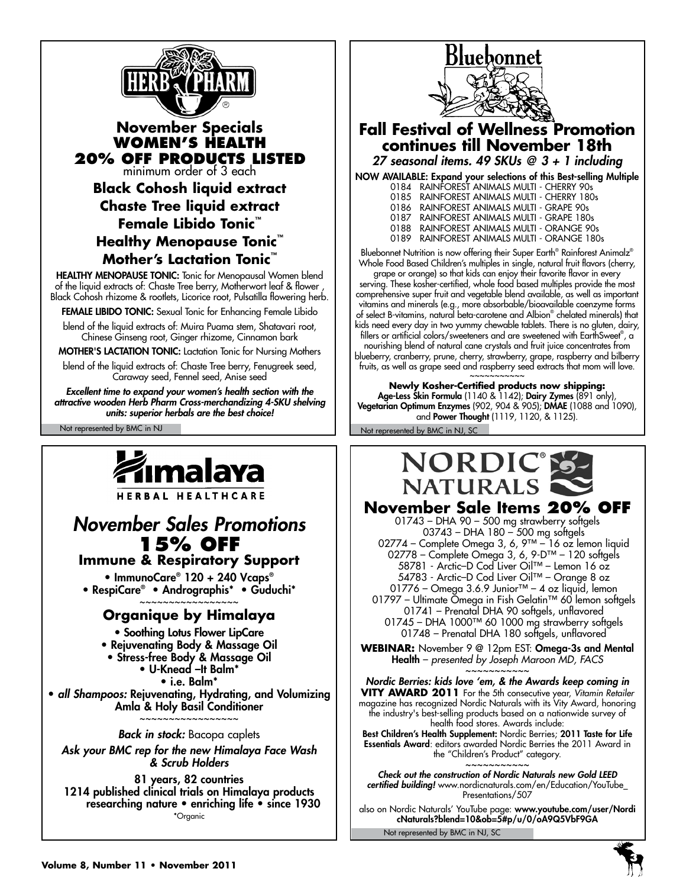

## **November Specials Women's Health 20% OFF products listed** minimum order of 3 each

**Black Cohosh liquid extract Chaste Tree liquid extract Female Libido Tonic™ Healthy Menopause Tonic™ Mother's Lactation Tonic™**

HEALTHY MENOPAUSE TONIC: Tonic for Menopausal Women blend of the liquid extracts of: Chaste Tree berry, Motherwort leaf & flower , Black Cohosh rhizome & rootlets, Licorice root, Pulsatilla flowering herb.

FEMALE LIBIDO TONIC: Sexual Tonic for Enhancing Female Libido

blend of the liquid extracts of: Muira Puama stem, Shatavari root, Chinese Ginseng root, Ginger rhizome, Cinnamon bark

MOTHER'S LACTATION TONIC: Lactation Tonic for Nursing Mothers

blend of the liquid extracts of: Chaste Tree berry, Fenugreek seed, Caraway seed, Fennel seed, Anise seed

*Excellent time to expand your women's health section with the attractive wooden Herb Pharm Cross-merchandizing 4-SKU shelving units: superior herbals are the best choice!*

# ímalaya

HERBAL HEALTHCARE

# *November Sales Promotions* **15% OFF**

**Immune & Respiratory Support**

• ImmunoCare® 120 + 240 Vcaps® • RespiCare® • Andrographis\* • Guduchi\* ~~~~~~~~~~~~~~~~~

# **Organique by Himalaya**

• Soothing Lotus Flower LipCare • Rejuvenating Body & Massage Oil • Stress-free Body & Massage Oil • U-Knead –It Balm\* • i.e. Balm\* • *all Shampoos:* Rejuvenating, Hydrating, and Volumizing Amla & Holy Basil Conditioner ~~~~~~~~~~~~~~~~~

*Back in stock:* Bacopa caplets *Ask your BMC rep for the new Himalaya Face Wash & Scrub Holders* 

81 years, 82 countries 1214 published clinical trials on Himalaya products researching nature • enriching life • since 1930 \*Organic



# **Fall Festival of Wellness Promotion continues till November 18th**

*27 seasonal items. 49 SKUs @ 3 + 1 including*

| NOW AVAILABLE: Expand your selections of this Best-selling Multiple |
|---------------------------------------------------------------------|
| 0184 RAINFOREST ANIMALS MULTI - CHERRY 90s                          |
| 0185 RAINFOREST ANIMALS MULTI - CHERRY 180s                         |
| 0186 RAINFOREST ANIMALS MULTI - GRAPE 90s                           |
| 0187 RAINFOREST ANIMALS MULTI - GRAPE 180s                          |
| 0188 RAINFOREST ANIMALS MULTI - ORANGE 90s                          |
| 0189 RAINFOREST ANIMALS MULTI - ORANGE 180s                         |
|                                                                     |

Bluebonnet Nutrition is now offering their Super Earth® Rainforest Animalz® Whole Food Based Children's multiples in single, natural fruit flavors (cherry, grape or orange) so that kids can enjoy their favorite flavor in every serving. These kosher-certified, whole food based multiples provide the most comprehensive super fruit and vegetable blend available, as well as important vitamins and minerals (e.g., more absorbable/bioavailable coenzyme forms of select B-vitamins, natural beta-carotene and Albion® chelated minerals) that kids need every day in two yummy chewable tablets. There is no gluten, dairy, fillers or artificial colors/sweeteners and are sweetened with EarthSweet® , a nourishing blend of natural cane crystals and fruit juice concentrates from blueberry, cranberry, prune, cherry, strawberry, grape, raspberry and bilberry fruits, as well as grape seed and raspberry seed extracts that mom will love.

~~~~~~~~~ **Newly Kosher-Certified products now shipping:** Age-Less Skin Formula (1140 & 1142); Dairy Zymes (891 only), Vegetarian Optimum Enzymes (902, 904 & 905); DMAE (1088 and 1090), and Power Thought (1119, 1120, & 1125).

Not represented by BMC in NJ Not represented by BMC in NJ, SC



**November Sale Items 20% OFF**  01743 – DHA 90 – 500 mg strawberry softgels

 03743 – DHA 180 – 500 mg softgels 02774 – Complete Omega 3, 6, 9™ – 16 oz lemon liquid 02778 – Complete Omega 3, 6, 9-D™ – 120 softgels 58781 - Arctic–D Cod Liver Oil™ – Lemon 16 oz 54783 - Arctic–D Cod Liver Oil™ – Orange 8 oz 01776 – Omega 3.6.9 Junior™ – 4 oz liquid, lemon 01797 – Ultimate Omega in Fish Gelatin™ 60 lemon softgels

 01741 – Prenatal DHA 90 softgels, unflavored 01745 – DHA 1000™ 60 1000 mg strawberry softgels 01748 – Prenatal DHA 180 softgels, unflavored

**WEBINAR:** November 9 @ 12pm EST: Omega-3s and Mental Health – *presented by Joseph Maroon MD, FACS* ~~~~~~~~~

*Nordic Berries: kids love 'em, & the Awards keep coming in* **VITY AWARD 2011** For the 5th consecutive year, *Vitamin Retailer* magazine has recognized Nordic Naturals with its Vity Award, honoring the industry's best-selling products based on a nationwide survey of health food stores. Awards include:

Best Children's Health Supplement: Nordic Berries; 2011 Taste for Life Essentials Award: editors awarded Nordic Berries the 2011 Award in the "Children's Product" category. ~~~~~~~~~~~

*Check out the construction of Nordic Naturals new Gold LEED certified building!* www.nordicnaturals.com/en/Education/YouTube\_ Presentations/507

also on Nordic Naturals' YouTube page: www.youtube.com/user/Nordi cNaturals?blend=10&ob=5#p/u/0/oA9Q5VbF9GA

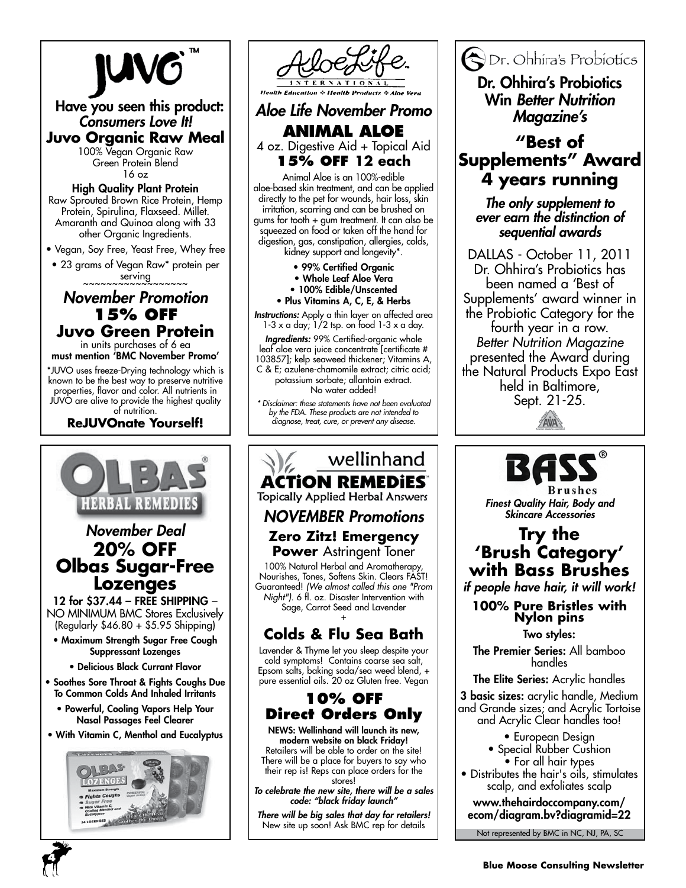



**Animal Aloe** 4 oz. Digestive Aid + Topical Aid **15% OFF 12 each**

Animal Aloe is an 100%-edible aloe-based skin treatment, and can be applied directly to the pet for wounds, hair loss, skin irritation, scarring and can be brushed on gums for tooth + gum treatment. It can also be squeezed on food or taken off the hand for digestion, gas, constipation, allergies, colds,

kidney support and longevity\*.

- 99% Certified Organic
- Whole Leaf Aloe Vera
- 100% Edible/Unscented
- Plus Vitamins A, C, E, & Herbs

*Instructions:* Apply a thin layer on affected area  $1-3 \times a$  day;  $1/2$  tsp. on food  $1-3 \times a$  day.

*Ingredients:* 99% Certified-organic whole leaf aloe vera juice concentrate [certificate # 103857]; kelp seaweed thickener; Vitamins A, C & E; azulene-chamomile extract; citric acid; potassium sorbate; allantoin extract. No water added!

*\* Disclaimer: these statements have not been evaluated by the FDA. These products are not intended to diagnose, treat, cure, or prevent any disease.*

# wellinhand **ACTION REMEDIES**

**Topically Applied Herbal Answers** 

# *NOVEMBER Promotions*

**Zero Zitz! Emergency Power** Astringent Toner

100% Natural Herbal and Aromatherapy, Nourishes, Tones, Softens Skin. Clears FAST! Guaranteed! *(We almost called this one "Prom Night").* 6 fl. oz. Disaster Intervention with Sage, Carrot Seed and Lavender +

# **Colds & Flu Sea Bath**

Lavender & Thyme let you sleep despite your cold symptoms! Contains coarse sea salt, Epsom salts, baking soda/sea weed blend, + pure essential oils. 20 oz Gluten free. Vegan

# **10% off Direct Orders Only**

NEWS: Wellinhand will launch its new, modern website on black Friday! Retailers will be able to order on the site! There will be a place for buyers to say who their rep is! Reps can place orders for the stores!

*To celebrate the new site, there will be a sales code: "black friday launch"* 

*There will be big sales that day for retailers!*  New site up soon! Ask BMC rep for details

Dr. Ohhira's Probiotics Dr. Ohhira's Probiotics

Win *Better Nutrition Magazine's* 

# **"Best of Supplements" Award 4 years running**

*The only supplement to ever earn the distinction of sequential awards*

DALLAS - October 11, 2011 Dr. Ohhira's Probiotics has been named a 'Best of Supplements' award winner in the Probiotic Category for the fourth year in a row. *Better Nutrition Magazine* presented the Award during the Natural Products Expo East held in Baltimore, Sept. 21-25.





*Finest Quality Hair, Body and Skincare Accessories*

# **Try the 'Brush Category' with Bass Brushes**

*if people have hair, it will work!*

**100% Pure Bristles with Nylon pins**

Two styles:

The Premier Series: All bamboo handles

The Elite Series: Acrylic handles

3 basic sizes: acrylic handle, Medium and Grande sizes; and Acrylic Tortoise and Acrylic Clear handles too!

• European Design

- Special Rubber Cushion • For all hair types
- Distributes the hair's oils, stimulates scalp, and exfoliates scalp

www.thehairdoccompany.com/ ecom/diagram.bv?diagramid=22

Not represented by BMC in NC, NJ, PA, SC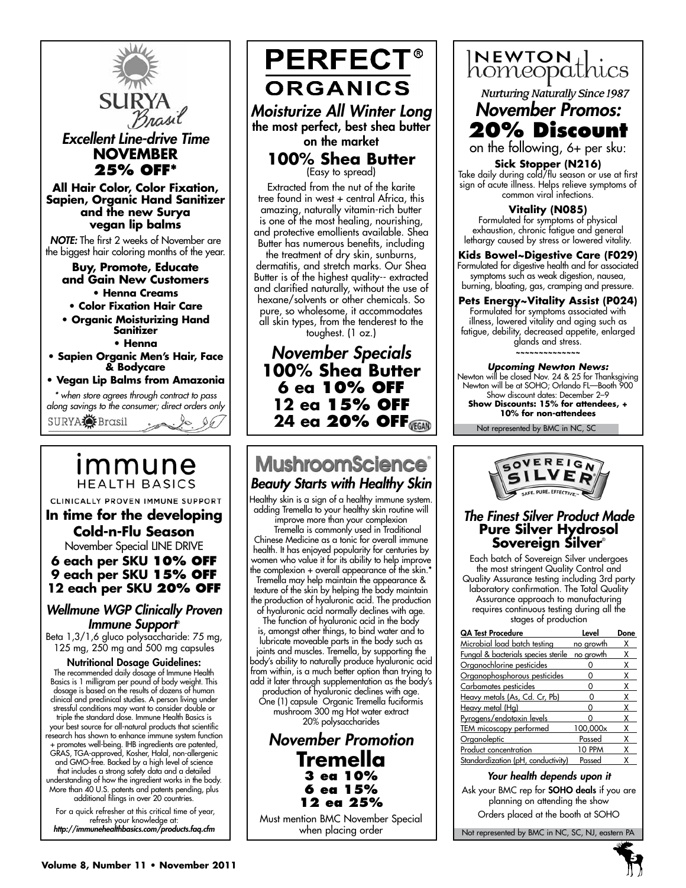

# immune **HEALTH BASICS**

CLINICALLY PROVEN IMMUNE SUPPORT

**In time for the developing Cold-n-Flu Season**

November Special LINE DRIVE

**6 each per SKU 10% OFF 9 each per SKU 15% OFF 12 each per SKU 20% OFF**

### *Wellmune WGP Clinically Proven Immune Support*®

Beta 1,3/1,6 gluco polysaccharide: 75 mg, 125 mg, 250 mg and 500 mg capsules

Nutritional Dosage Guidelines: The recommended daily dosage of Immune Health Basics is 1 milligram per pound of body weight. This dosage is based on the results of dozens of human clinical and preclinical studies. A person living under stressful conditions may want to consider double or triple the standard dose. Immune Health Basics is your best source for all-natural products that scientific research has shown to enhance immune system function + promotes well-being. IHB ingredients are patented, GRAS, TGA-approved, Kosher, Halal, non-allergenic and GMO-free. Backed by a high level of science that includes a strong safety data and a detailed understanding of how the ingredient works in the body. More than 40 U.S. patents and patents pending, plus additional filings in over 20 countries.

 For a quick refresher at this critical time of year, refresh your knowledge at: *http://immunehealthbasics.com/products.faq.cfm*



Extracted from the nut of the karite tree found in west + central Africa, this amazing, naturally vitamin-rich butter is one of the most healing, nourishing, and protective emollients available. Shea Butter has numerous benefits, including

the treatment of dry skin, sunburns, dermatitis, and stretch marks. Our Shea Butter is of the highest quality-- extracted and clarified naturally, without the use of hexane/solvents or other chemicals. So pure, so wholesome, it accommodates all skin types, from the tenderest to the toughest. (1 oz.)

*November Specials* **100% Shea Butter 6 ea 10% off 12 ea 15% off 24 ea 20% off**

# **MushroomScience®** *Beauty Starts with Healthy Skin*

Healthy skin is a sign of a healthy immune system. adding Tremella to your healthy skin routine will improve more than your complexion

 Tremella is commonly used in Traditional Chinese Medicine as a tonic for overall immune health. It has enjoyed popularity for centuries by women who value it for its ability to help improve the complexion + overall appearance of the skin.\* Tremella may help maintain the appearance & texture of the skin by helping the body maintain the production of hyaluronic acid. The production of hyaluronic acid normally declines with age.

The function of hyaluronic acid in the body is, amongst other things, to bind water and to lubricate moveable parts in the body such as joints and muscles. Tremella, by supporting the body's ability to naturally produce hyaluronic acid from within, is a much better option than trying to add it later through supplementation as the body's production of hyaluronic declines with age.

One (1) capsule Organic Tremella fuciformis mushroom 300 mg Hot water extract

20% polysaccharides

*November Promotion* **Tremella 3 ea 10% 6 ea 15% 12 ea 25%**

Must mention BMC November Special when placing order



**Nurturing Naturally Since 1987** 

*November Promos:* **20% Discount**

on the following, 6+ per sku:

**Sick Stopper (N216)** Take daily during cold/flu season or use at first sign of acute illness. Helps relieve symptoms of common viral infections.

**Vitality (N085)** Formulated for symptoms of physical exhaustion, chronic fatigue and general lethargy caused by stress or lowered vitality.

**Kids Bowel~Digestive Care (F029)** Formulated for digestive health and for associated symptoms such as weak digestion, nausea, burning, bloating, gas, cramping and pressure.

**Pets Energy~Vitality Assist (P024)** Formulated for symptoms associated with illness, lowered vitality and aging such as fatigue, debility, decreased appetite, enlarged glands and stress. **~~~~~~~~~~~~~~**

*Upcoming Newton News:* Newton will be closed Nov. 24 & 25 for Thanksgiving Newton will be at SOHO; Orlando FL—Booth 900 Show discount dates: December 2-9 **Show Discounts: 15% for attendees, + 10% for non-attendees**

Not represented by BMC in NC, SC



#### *The Finest Silver Product Made* **Pure Silver Hydrosol Sovereign Silver**®

Each batch of Sovereign Silver undergoes the most stringent Quality Control and Quality Assurance testing including 3rd party laboratory confirmation. The Total Quality Assurance approach to manufacturing requires continuous testing during all the stages of production

| <b>QA Test Procedure</b>            | Level     | Done |
|-------------------------------------|-----------|------|
| Microbial load batch testing        | no growth |      |
| Fungal & bacterials species sterile | no growth | x    |
| Organochlorine pesticides           |           | Х    |
| Organophosphorous pesticides        |           | x    |
| Carbamates pesticides               |           | x    |
| Heavy metals (As, Cd. Cr, Pb)       |           | χ    |
| Heavy metal (Hg)                    |           | x    |
| Pyrogens/endotoxin levels           |           | x    |
| TEM micoscopy performed             | 100,000x  | x    |
| Organoleptic                        | Passed    | Χ    |
| Product concentration               | 10 PPM    | χ    |
| Standardization (pH, conductivity)  | Passed    |      |

*Your health depends upon it*

Ask your BMC rep for **SOHO deals** if you are planning on attending the show

Orders placed at the booth at SOHO

Not represented by BMC in NC, SC, NJ, eastern PA

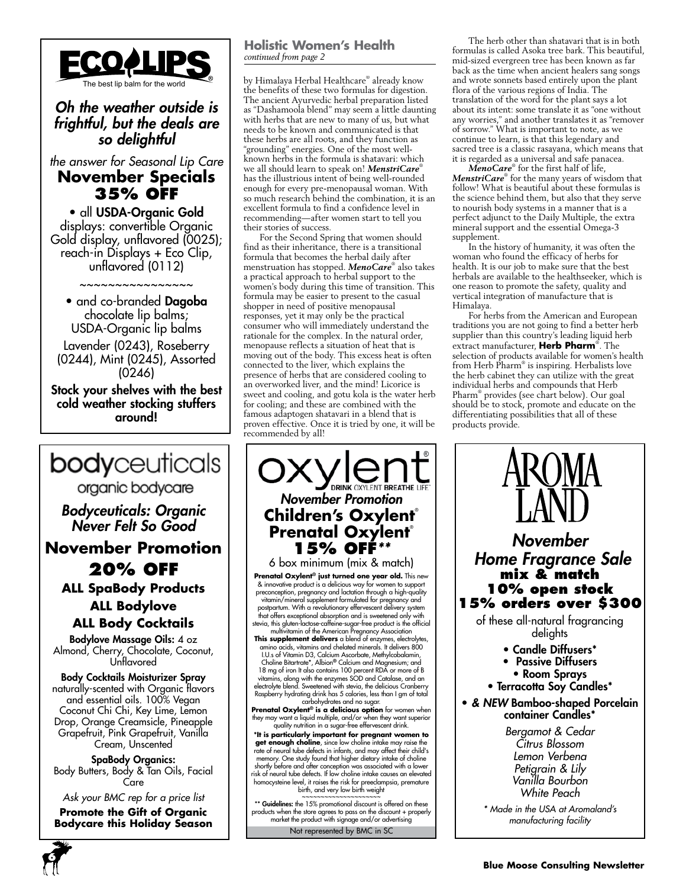

*Oh the weather outside is frightful, but the deals are so delightful*

*the answer for Seasonal Lip Care* **November Specials 35% OFF**

• all USDA-Organic Gold displays: convertible Organic Gold display, unflavored (0025); reach-in Displays + Eco Clip, unflavored (0112)

• and co-branded **Dagoba** chocolate lip balms; USDA-Organic lip balms

~~~~~~~~~~~~~~~~

Lavender (0243), Roseberry (0244), Mint (0245), Assorted (0246)

Stock your shelves with the best cold weather stocking stuffers around!



*Bodyceuticals: Organic Never Felt So Good*

**November Promotion 20% OFF**

**ALL SpaBody Products ALL Bodylove**

**ALL Body Cocktails**

Bodylove Massage Oils: 4 oz Almond, Cherry, Chocolate, Coconut, Unflavored

Body Cocktails Moisturizer Spray naturally-scented with Organic flavors and essential oils. 100% Vegan Coconut Chi Chi, Key Lime, Lemon Drop, Orange Creamsicle, Pineapple Grapefruit, Pink Grapefruit, Vanilla Cream, Unscented

SpaBody Organics: Body Butters, Body & Tan Oils, Facial Care

*Ask your BMC rep for a price list*

**Promote the Gift of Organic Bodycare this Holiday Season**

#### **Holistic Women's Health** *continued from page 2*

The best lip balm for the world by Himalaya Herbal Healthcare® already know the benefits of these two formulas for digestion. The ancient Ayurvedic herbal preparation listed as "Dashamoola blend" may seem a little daunting with herbs that are new to many of us, but what needs to be known and communicated is that these herbs are all roots, and they function as "grounding" energies. One of the most wellknown herbs in the formula is shatavari: which we all should learn to speak on! MenstriCare® has the illustrious intent of being well-rounded enough for every pre-menopausal woman. With so much research behind the combination, it is an excellent formula to find a confidence level in recommending—after women start to tell you their stories of success.

For the Second Spring that women should find as their inheritance, there is a transitional formula that becomes the herbal daily after menstruation has stopped. *MenoCare*® also takes a practical approach to herbal support to the women's body during this time of transition. This formula may be easier to present to the casual shopper in need of positive menopausal responses, yet it may only be the practical consumer who will immediately understand the rationale for the complex. In the natural order, menopause reflects a situation of heat that is moving out of the body. This excess heat is often connected to the liver, which explains the presence of herbs that are considered cooling to an overworked liver, and the mind! Licorice is sweet and cooling, and gotu kola is the water herb for cooling; and these are combined with the famous adaptogen shatavari in a blend that is proven effective. Once it is tried by one, it will be recommended by all!

*November Promotion* **Children's Oxylent**® **Prenatal Oxylent® 15% off***\*\** 6 box minimum (mix & match) **Prenatal Oxylent® just turned one year old.** This new & innovative product is a delicious way for women to support<br>preconception, pregnancy and lactation through a high-quality<br>vitamin/mineral supplement formulated for pregnancy and<br>postpartum. With a revolutionary effervesce stevia, this gluten-lactose-caffeine-sugar-free product is the official multivitamin of the American Pregnancy Association **This supplement delivers** a blend of enzymes, electrolytes, amino acids, vitamins and chelated minerals. It delivers 800 I.U.s of Vitamin D3, Calcium Ascorbate, Methylcobalamin, Choline Bitartrate\*, Albion**®** Calcium and Magnesium; and 18 mg of iron It also contains 100 percent RDA or more of B vitamins, along with the enzymes SOD and Catalase, and an electrolyte blend. Sweetened with stevia, the delicious Cranberry Raspberry hydrating drink has 5 calories, less than I gm of total carbohydrates and no sugar. **Prenatal Oxylent® is a delicious option** for women when they may want a liquid multiple, and/or when they want superior quality nutrition in a sugar-free effervescent drink. **\*It is particularly important for pregnant women to get enough choline**, since low choline intake may raise the rate of neural tube defects in infants, and may affect their child's<br>memory. One study found that higher dietary intake of choline<br>shortly before and after conception was associated with a lower<br>risk of neural tube defects \*\* Guidelines: the 15% promotional discount is offered on these

Not represented by BMC in SC products when the store agrees to pass on the discount + properly market the product with signage and/or advertising

The herb other than shatavari that is in both formulas is called Asoka tree bark. This beautiful, mid-sized evergreen tree has been known as far back as the time when ancient healers sang songs and wrote sonnets based entirely upon the plant flora of the various regions of India. The translation of the word for the plant says a lot about its intent: some translate it as "one without any worries," and another translates it as "remover of sorrow." What is important to note, as we continue to learn, is that this legendary and sacred tree is a classic rasayana, which means that it is regarded as a universal and safe panacea.

*MenoCare*® for the first half of life, *MenstriCare*® for the many years of wisdom that follow! What is beautiful about these formulas is the science behind them, but also that they serve to nourish body systems in a manner that is a perfect adjunct to the Daily Multiple, the extra mineral support and the essential Omega-3 supplement.

In the history of humanity, it was often the woman who found the efficacy of herbs for health. It is our job to make sure that the best herbals are available to the healthseeker, which is one reason to promote the safety, quality and vertical integration of manufacture that is Himalaya.

For herbs from the American and European traditions you are not going to find a better herb supplier than this country's leading liquid herb extract manufacturer, **Herb Pharm**® . The selection of products available for women's health from Herb Pharm® is inspiring. Herbalists love the herb cabinet they can utilize with the great individual herbs and compounds that Herb Pharm® provides (see chart below). Our goal should be to stock, promote and educate on the differentiating possibilities that all of these products provide.

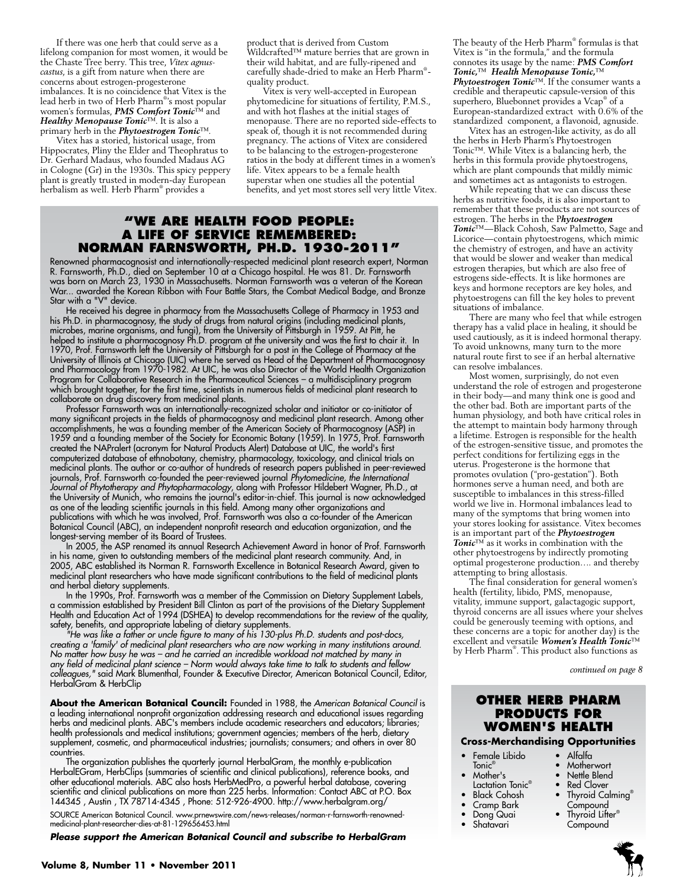If there was one herb that could serve as a lifelong companion for most women, it would be the Chaste Tree berry. This tree, *Vitex agnuscastus*, is a gift from nature when there are concerns about estrogen-progesterone imbalances. It is no coincidence that Vitex is the lead herb in two of Herb Pharm® 's most popular women's formulas, *PMS Comfort Tonic*™ and *Healthy Menopause Tonic*™. It is also a primary herb in the *Phytoestrogen Tonic*™.

Vitex has a storied, historical usage, from Hippocrates, Pliny the Elder and Theophratus to Dr. Gerhard Madaus, who founded Madaus AG in Cologne (Gr) in the 1930s. This spicy peppery plant is greatly trusted in modern-day European herbalism as well. Herb Pharm® provides a

product that is derived from Custom Wildcrafted™ mature berries that are grown in their wild habitat, and are fully-ripened and carefully shade-dried to make an Herb Pharm® quality product.

Vitex is very well-accepted in European phytomedicine for situations of fertility, P.M.S., and with hot flashes at the initial stages of menopause. There are no reported side-effects to speak of, though it is not recommended during pregnancy. The actions of Vitex are considered to be balancing to the estrogen-progesterone ratios in the body at different times in a women's life. Vitex appears to be a female health superstar when one studies all the potential benefits, and yet most stores sell very little Vitex.

#### **"We Are health food people: A Life of Service Remembered: Norman Farnsworth, Ph.D. 1930-2011"**

Renowned pharmacognosist and internationally-respected medicinal plant research expert, Norman R. Farnsworth, Ph.D., died on September 10 at a Chicago hospital. He was 81. Dr. Farnsworth was born on March 23, 1930 in Massachusetts. Norman Farnsworth was a veteran of the Korean War... awarded the Korean Ribbon with Four Battle Stars, the Combat Medical Badge, and Bronze Star with a "V" device.

He received his degree in pharmacy from the Massachusetts College of Pharmacy in 1953 and his Ph.D. in pharmacognosy, the study of drugs from natural origins (including medicinal plants, microbes, marine organisms, and fungi), from the University of Pittsburgh in 1959. At Pitt, he helped to institute a pharmacognosy Ph.D. program at the university and was the first to chair it. In 1970, Prof. Farnsworth left the University of Pittsburgh for a post in the College of Pharmacy at the University of Illinois at Chicago (UIC) where he served as Head of the Department of Pharmacognosy and Pharmacology from 1970-1982. At UIC, he was also Director of the World Health Organization Program for Collaborative Research in the Pharmaceutical Sciences – a multidisciplinary program which brought together, for the first time, scientists in numerous fields of medicinal plant research to collaborate on drug discovery from medicinal plants.

Professor Farnsworth was an internationally-recognized scholar and initiator or co-initiator of many significant projects in the fields of pharmacognosy and medicinal plant research. Among other accomplishments, he was a founding member of the American Society of Pharmacognosy (ASP) in 1959 and a founding member of the Society for Economic Botany (1959). In 1975, Prof. Farnsworth created the NAPralert (acronym for Natural Products Alert) Database at UIC, the world's first computerized database of ethnobotany, chemistry, pharmacology, toxicology, and clinical trials on medicinal plants. The author or co-author of hundreds of research papers published in peer-reviewed journals, Prof. Farnsworth co-founded the peer-reviewed journal *Phytomedicine, the International Journal of Phytotherapy and Phytopharmacology*, along with Professor Hildebert Wagner, Ph.D., at the University of Munich, who remains the journal's editor-in-chief. This journal is now acknowledged as one of the leading scientific journals in this field. Among many other organizations and publications with which he was involved, Prof. Farnsworth was also a co-founder of the American Botanical Council (ABC), an independent nonprofit research and education organization, and the longest-serving member of its Board of Trustees.

In 2005, the ASP renamed its annual Research Achievement Award in honor of Prof. Farnsworth in his name, given to outstanding members of the medicinal plant research community. And, in 2005, ABC established its Norman R. Farnsworth Excellence in Botanical Research Award, given to medicinal plant researchers who have made significant contributions to the field of medicinal plants and herbal dietary supplements.

In the 1990s, Prof. Farnsworth was a member of the Commission on Dietary Supplement Labels, a commission established by President Bill Clinton as part of the provisions of the Dietary Supplement Health and Education Act of 1994 (DSHEA) to develop recommendations for the review of the quality, safety, benefits, and appropriate labeling of dietary supplements.

*"He was like a father or uncle figure to many of his 130-plus Ph.D. students and post-docs, creating a 'family' of medicinal plant researchers who are now working in many institutions around. No matter how busy he was – and he carried an incredible workload not matched by many in any field of medicinal plant science – Norm would always take time to talk to students and fellow colleagues,"* said Mark Blumenthal, Founder & Executive Director, American Botanical Council, Editor, HerbalGram & HerbClip

**About the American Botanical Council:** Founded in 1988, the *American Botanical Council* is a leading international nonprofit organization addressing research and educational issues regarding herbs and medicinal plants. ABC's members include academic researchers and educators; libraries; health professionals and medical institutions; government agencies; members of the herb, dietary supplement, cosmetic, and pharmaceutical industries; journalists; consumers; and others in over 80 countries.

The organization publishes the quarterly journal HerbalGram, the monthly e-publication HerbalEGram, HerbClips (summaries of scientific and clinical publications), reference books, and other educational materials. ABC also hosts HerbMedPro, a powerful herbal database, covering scientific and clinical publications on more than 225 herbs. Information: Contact ABC at P.O. Box 144345 , Austin , TX 78714-4345 , Phone: 512-926-4900. http://www.herbalgram.org/

SOURCE American Botanical Council. www.prnewswire.com/news-releases/norman-r-farnsworth-renownedmedicinal-plant-researcher-dies-at-81-129656453.html

*Please support the American Botanical Council and subscribe to HerbalGram*

The beauty of the Herb Pharm® formulas is that Vitex is "in the formula," and the formula connotes its usage by the name: *PMS Comfort Tonic,*™ *Health Menopause Tonic,*™ *Phytoestrogen Tonic*™. If the consumer wants a credible and therapeutic capsule-version of this superhero, Bluebonnet provides a Vcap® of a European-standardized extract with 0.6% of the standardized component, a flavonoid, agnuside.

Vitex has an estrogen-like activity, as do all the herbs in Herb Pharm's Phytoestrogen Tonic™. While Vitex is a balancing herb, the herbs in this formula provide phytoestrogens, which are plant compounds that mildly mimic and sometimes act as antagonists to estrogen.

While repeating that we can discuss these herbs as nutritive foods, it is also important to remember that these products are not sources of estrogen. The herbs in the P*hytoestrogen Tonic*™—Black Cohosh, Saw Palmetto, Sage and Licorice—contain phytoestrogens, which mimic the chemistry of estrogen, and have an activity that would be slower and weaker than medical estrogen therapies, but which are also free of estrogens side-effects. It is like hormones are keys and hormone receptors are key holes, and phytoestrogens can fill the key holes to prevent situations of imbalance.

There are many who feel that while estrogen therapy has a valid place in healing, it should be used cautiously, as it is indeed hormonal therapy. To avoid unknowns, many turn to the more natural route first to see if an herbal alternative can resolve imbalances.

Most women, surprisingly, do not even understand the role of estrogen and progesterone in their body—and many think one is good and the other bad. Both are important parts of the human physiology, and both have critical roles in the attempt to maintain body harmony through a lifetime. Estrogen is responsible for the health of the estrogen-sensitive tissue, and promotes the perfect conditions for fertilizing eggs in the uterus. Progesterone is the hormone that promotes ovulation ("pro-gestation"). Both hormones serve a human need, and both are susceptible to imbalances in this stress-filled world we live in. Hormonal imbalances lead to many of the symptoms that bring women into your stores looking for assistance. Vitex becomes is an important part of the *Phytoestrogen Tonic*™ as it works in combination with the other phytoestrogens by indirectly promoting optimal progesterone production…. and thereby attempting to bring allostasis.

The final consideration for general women's health (fertility, libido, PMS, menopause, vitality, immune support, galactagogic support, thyroid concerns are all issues where your shelves could be generously teeming with options, and these concerns are a topic for another day) is the excellent and versatile *Women's Health Tonic*™ by Herb Pharm® . This product also functions as

*continued on page 8*

#### **Other Herb Pharm Products for Women's Health**

**Cross-Merchandising Opportunities**

• Alfalfa • Motherwort • Nettle Blend • Red Clover

- Female Libido
- Tonic $^\circ$
- Mother's
- Lactation Tonic®
- Black Cohosh
- Cramp Bark
- Dong Quai
- Shatavari
- Thyroid Calming® **Compound** • Thyroid Lifter®
	- **Compound**